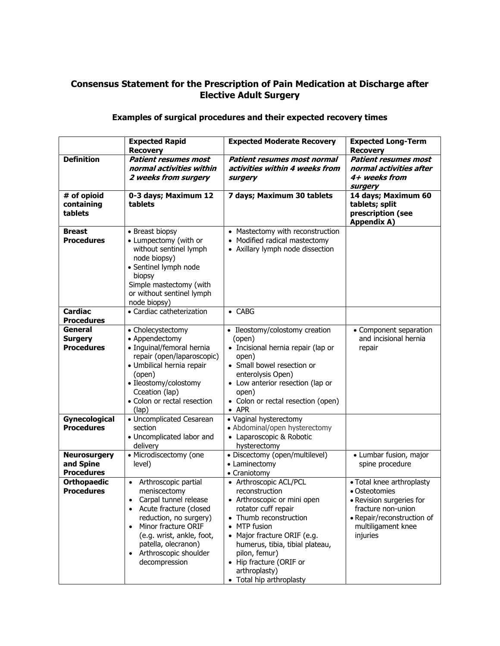## **Consensus Statement for the Prescription of Pain Medication at Discharge after Elective Adult Surgery**

## **Examples of surgical procedures and their expected recovery times**

|                                                       | <b>Expected Rapid</b><br><b>Recovery</b>                                                                                                                                                                                                              | <b>Expected Moderate Recovery</b>                                                                                                                                                                                                                                                               | <b>Expected Long-Term</b><br><b>Recovery</b>                                                                                                                 |
|-------------------------------------------------------|-------------------------------------------------------------------------------------------------------------------------------------------------------------------------------------------------------------------------------------------------------|-------------------------------------------------------------------------------------------------------------------------------------------------------------------------------------------------------------------------------------------------------------------------------------------------|--------------------------------------------------------------------------------------------------------------------------------------------------------------|
| <b>Definition</b>                                     | <b>Patient resumes most</b><br>normal activities within<br>2 weeks from surgery                                                                                                                                                                       | Patient resumes most normal<br>activities within 4 weeks from<br>surgery                                                                                                                                                                                                                        | <b>Patient resumes most</b><br>normal activities after<br>4+ weeks from<br>surgery                                                                           |
| # of opioid<br>containing<br>tablets                  | 0-3 days; Maximum 12<br>tablets                                                                                                                                                                                                                       | 7 days; Maximum 30 tablets                                                                                                                                                                                                                                                                      | 14 days; Maximum 60<br>tablets; split<br>prescription (see<br><b>Appendix A)</b>                                                                             |
| <b>Breast</b><br><b>Procedures</b>                    | • Breast biopsy<br>• Lumpectomy (with or<br>without sentinel lymph<br>node biopsy)<br>· Sentinel lymph node<br>biopsy<br>Simple mastectomy (with<br>or without sentinel lymph<br>node biopsy)                                                         | • Mastectomy with reconstruction<br>• Modified radical mastectomy<br>• Axillary lymph node dissection                                                                                                                                                                                           |                                                                                                                                                              |
| <b>Cardiac</b><br><b>Procedures</b>                   | • Cardiac catheterization                                                                                                                                                                                                                             | $\bullet$ CABG                                                                                                                                                                                                                                                                                  |                                                                                                                                                              |
| General<br><b>Surgery</b><br><b>Procedures</b>        | • Cholecystectomy<br>• Appendectomy<br>· Inguinal/femoral hernia<br>repair (open/laparoscopic)<br>· Umbilical hernia repair<br>(open)<br>• Ileostomy/colostomy<br>Cceation (lap)<br>• Colon or rectal resection<br>(lap)                              | • Ileostomy/colostomy creation<br>(open)<br>• Incisional hernia repair (lap or<br>open)<br>• Small bowel resection or<br>enterolysis Open)<br>• Low anterior resection (lap or<br>open)<br>• Colon or rectal resection (open)<br>$\bullet$ APR                                                  | • Component separation<br>and incisional hernia<br>repair                                                                                                    |
| Gynecological<br><b>Procedures</b>                    | • Uncomplicated Cesarean<br>section<br>• Uncomplicated labor and<br>delivery                                                                                                                                                                          | • Vaginal hysterectomy<br>• Abdominal/open hysterectomy<br>• Laparoscopic & Robotic<br>hysterectomy                                                                                                                                                                                             |                                                                                                                                                              |
| <b>Neurosurgery</b><br>and Spine<br><b>Procedures</b> | • Microdiscectomy (one<br>level)                                                                                                                                                                                                                      | · Discectomy (open/multilevel)<br>• Laminectomy<br>• Craniotomy                                                                                                                                                                                                                                 | • Lumbar fusion, major<br>spine procedure                                                                                                                    |
| <b>Orthopaedic</b><br><b>Procedures</b>               | Arthroscopic partial<br>meniscectomy<br>Carpal tunnel release<br>Acute fracture (closed<br>$\bullet$<br>reduction, no surgery)<br>Minor fracture ORIF<br>(e.g. wrist, ankle, foot,<br>patella, olecranon)<br>• Arthroscopic shoulder<br>decompression | • Arthroscopic ACL/PCL<br>reconstruction<br>• Arthroscopic or mini open<br>rotator cuff repair<br>• Thumb reconstruction<br>MTP fusion<br>Major fracture ORIF (e.g.<br>humerus, tibia, tibial plateau,<br>pilon, femur)<br>• Hip fracture (ORIF or<br>arthroplasty)<br>• Total hip arthroplasty | • Total knee arthroplasty<br>• Osteotomies<br>• Revision surgeries for<br>fracture non-union<br>• Repair/reconstruction of<br>multiligament knee<br>injuries |